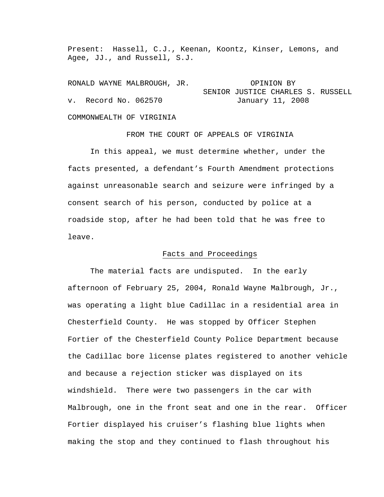Present: Hassell, C.J., Keenan, Koontz, Kinser, Lemons, and Agee, JJ., and Russell, S.J.

RONALD WAYNE MALBROUGH, JR. OPINION BY SENIOR JUSTICE CHARLES S. RUSSELL v. Record No. 062570 January 11, 2008

# COMMONWEALTH OF VIRGINIA

# FROM THE COURT OF APPEALS OF VIRGINIA

 In this appeal, we must determine whether, under the facts presented, a defendant's Fourth Amendment protections against unreasonable search and seizure were infringed by a consent search of his person, conducted by police at a roadside stop, after he had been told that he was free to leave.

## Facts and Proceedings

 The material facts are undisputed. In the early afternoon of February 25, 2004, Ronald Wayne Malbrough, Jr., was operating a light blue Cadillac in a residential area in Chesterfield County. He was stopped by Officer Stephen Fortier of the Chesterfield County Police Department because the Cadillac bore license plates registered to another vehicle and because a rejection sticker was displayed on its windshield. There were two passengers in the car with Malbrough, one in the front seat and one in the rear. Officer Fortier displayed his cruiser's flashing blue lights when making the stop and they continued to flash throughout his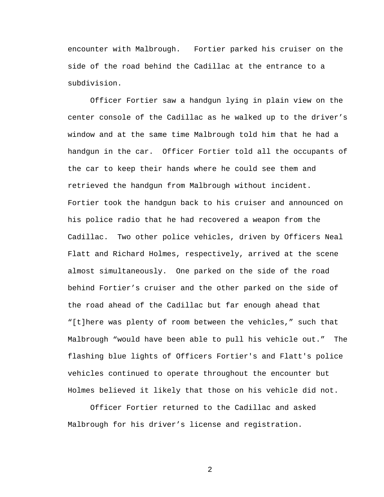encounter with Malbrough. Fortier parked his cruiser on the side of the road behind the Cadillac at the entrance to a subdivision.

 Officer Fortier saw a handgun lying in plain view on the center console of the Cadillac as he walked up to the driver's window and at the same time Malbrough told him that he had a handgun in the car. Officer Fortier told all the occupants of the car to keep their hands where he could see them and retrieved the handgun from Malbrough without incident. Fortier took the handgun back to his cruiser and announced on his police radio that he had recovered a weapon from the Cadillac. Two other police vehicles, driven by Officers Neal Flatt and Richard Holmes, respectively, arrived at the scene almost simultaneously. One parked on the side of the road behind Fortier's cruiser and the other parked on the side of the road ahead of the Cadillac but far enough ahead that "[t]here was plenty of room between the vehicles," such that Malbrough "would have been able to pull his vehicle out." The flashing blue lights of Officers Fortier's and Flatt's police vehicles continued to operate throughout the encounter but Holmes believed it likely that those on his vehicle did not.

 Officer Fortier returned to the Cadillac and asked Malbrough for his driver's license and registration.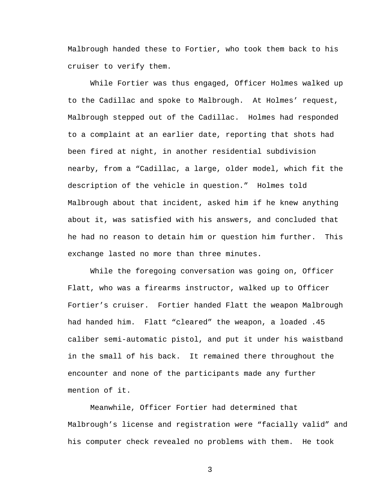Malbrough handed these to Fortier, who took them back to his cruiser to verify them.

 While Fortier was thus engaged, Officer Holmes walked up to the Cadillac and spoke to Malbrough. At Holmes' request, Malbrough stepped out of the Cadillac. Holmes had responded to a complaint at an earlier date, reporting that shots had been fired at night, in another residential subdivision nearby, from a "Cadillac, a large, older model, which fit the description of the vehicle in question." Holmes told Malbrough about that incident, asked him if he knew anything about it, was satisfied with his answers, and concluded that he had no reason to detain him or question him further. This exchange lasted no more than three minutes.

 While the foregoing conversation was going on, Officer Flatt, who was a firearms instructor, walked up to Officer Fortier's cruiser. Fortier handed Flatt the weapon Malbrough had handed him. Flatt "cleared" the weapon, a loaded .45 caliber semi-automatic pistol, and put it under his waistband in the small of his back. It remained there throughout the encounter and none of the participants made any further mention of it.

 Meanwhile, Officer Fortier had determined that Malbrough's license and registration were "facially valid" and his computer check revealed no problems with them. He took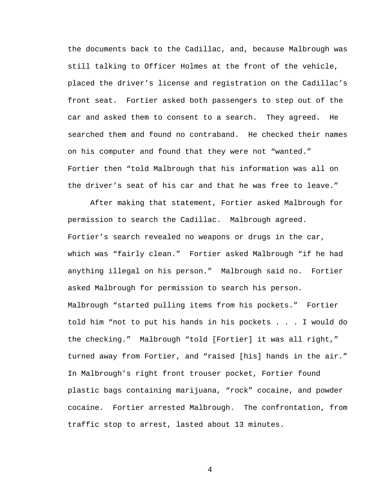the documents back to the Cadillac, and, because Malbrough was still talking to Officer Holmes at the front of the vehicle, placed the driver's license and registration on the Cadillac's front seat. Fortier asked both passengers to step out of the car and asked them to consent to a search. They agreed. He searched them and found no contraband. He checked their names on his computer and found that they were not "wanted." Fortier then "told Malbrough that his information was all on the driver's seat of his car and that he was free to leave."

 After making that statement, Fortier asked Malbrough for permission to search the Cadillac. Malbrough agreed. Fortier's search revealed no weapons or drugs in the car, which was "fairly clean." Fortier asked Malbrough "if he had anything illegal on his person." Malbrough said no. Fortier asked Malbrough for permission to search his person. Malbrough "started pulling items from his pockets." Fortier told him "not to put his hands in his pockets . . . I would do the checking." Malbrough "told [Fortier] it was all right," turned away from Fortier, and "raised [his] hands in the air." In Malbrough's right front trouser pocket, Fortier found plastic bags containing marijuana, "rock" cocaine, and powder cocaine. Fortier arrested Malbrough. The confrontation, from traffic stop to arrest, lasted about 13 minutes.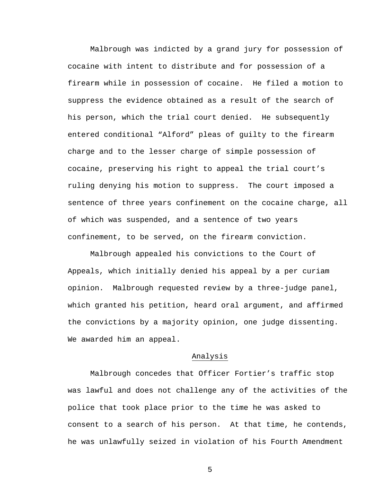Malbrough was indicted by a grand jury for possession of cocaine with intent to distribute and for possession of a firearm while in possession of cocaine. He filed a motion to suppress the evidence obtained as a result of the search of his person, which the trial court denied. He subsequently entered conditional "Alford" pleas of guilty to the firearm charge and to the lesser charge of simple possession of cocaine, preserving his right to appeal the trial court's ruling denying his motion to suppress. The court imposed a sentence of three years confinement on the cocaine charge, all of which was suspended, and a sentence of two years confinement, to be served, on the firearm conviction.

 Malbrough appealed his convictions to the Court of Appeals, which initially denied his appeal by a per curiam opinion. Malbrough requested review by a three-judge panel, which granted his petition, heard oral argument, and affirmed the convictions by a majority opinion, one judge dissenting. We awarded him an appeal.

### Analysis

 Malbrough concedes that Officer Fortier's traffic stop was lawful and does not challenge any of the activities of the police that took place prior to the time he was asked to consent to a search of his person. At that time, he contends, he was unlawfully seized in violation of his Fourth Amendment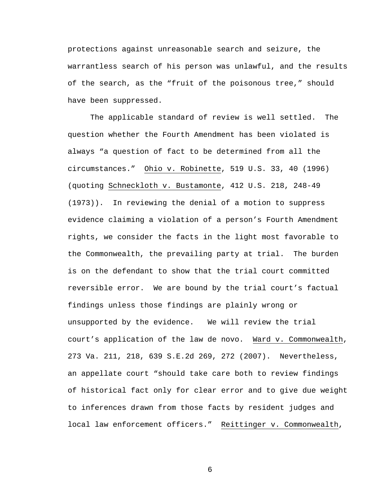protections against unreasonable search and seizure, the warrantless search of his person was unlawful, and the results of the search, as the "fruit of the poisonous tree," should have been suppressed.

 The applicable standard of review is well settled. The question whether the Fourth Amendment has been violated is always "a question of fact to be determined from all the circumstances." Ohio v. Robinette, 519 U.S. 33, 40 (1996) (quoting Schneckloth v. Bustamonte, 412 U.S. 218, 248-49 (1973)). In reviewing the denial of a motion to suppress evidence claiming a violation of a person's Fourth Amendment rights, we consider the facts in the light most favorable to the Commonwealth, the prevailing party at trial. The burden is on the defendant to show that the trial court committed reversible error. We are bound by the trial court's factual findings unless those findings are plainly wrong or unsupported by the evidence. We will review the trial court's application of the law de novo. Ward v. Commonwealth, 273 Va. 211, 218, 639 S.E.2d 269, 272 (2007). Nevertheless, an appellate court "should take care both to review findings of historical fact only for clear error and to give due weight to inferences drawn from those facts by resident judges and local law enforcement officers." Reittinger v. Commonwealth,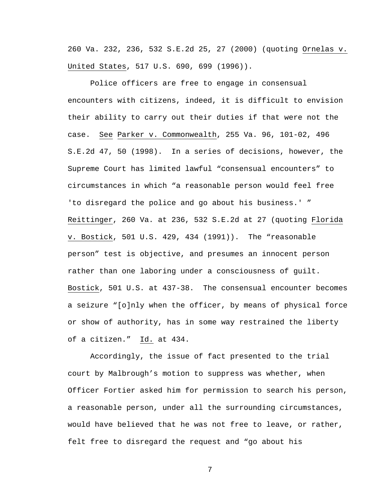260 Va. 232, 236, 532 S.E.2d 25, 27 (2000) (quoting Ornelas v. United States, 517 U.S. 690, 699 (1996)).

 Police officers are free to engage in consensual encounters with citizens, indeed, it is difficult to envision their ability to carry out their duties if that were not the case. See Parker v. Commonwealth, 255 Va. 96, 101-02, 496 S.E.2d 47, 50 (1998). In a series of decisions, however, the Supreme Court has limited lawful "consensual encounters" to circumstances in which "a reasonable person would feel free 'to disregard the police and go about his business.' " Reittinger, 260 Va. at 236, 532 S.E.2d at 27 (quoting Florida v. Bostick, 501 U.S. 429, 434 (1991)). The "reasonable person" test is objective, and presumes an innocent person rather than one laboring under a consciousness of guilt. Bostick, 501 U.S. at 437-38. The consensual encounter becomes a seizure "[o]nly when the officer, by means of physical force or show of authority, has in some way restrained the liberty of a citizen." Id. at 434.

 Accordingly, the issue of fact presented to the trial court by Malbrough's motion to suppress was whether, when Officer Fortier asked him for permission to search his person, a reasonable person, under all the surrounding circumstances, would have believed that he was not free to leave, or rather, felt free to disregard the request and "go about his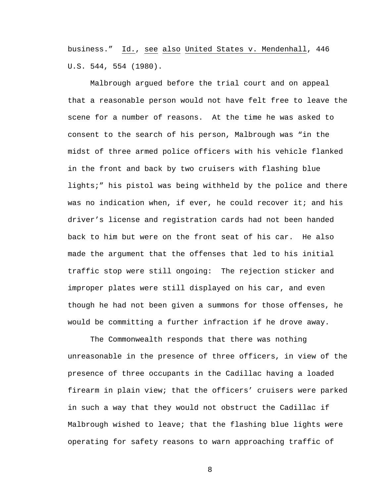business." Id., see also United States v. Mendenhall, 446 U.S. 544, 554 (1980).

 Malbrough argued before the trial court and on appeal that a reasonable person would not have felt free to leave the scene for a number of reasons. At the time he was asked to consent to the search of his person, Malbrough was "in the midst of three armed police officers with his vehicle flanked in the front and back by two cruisers with flashing blue lights;" his pistol was being withheld by the police and there was no indication when, if ever, he could recover it; and his driver's license and registration cards had not been handed back to him but were on the front seat of his car. He also made the argument that the offenses that led to his initial traffic stop were still ongoing: The rejection sticker and improper plates were still displayed on his car, and even though he had not been given a summons for those offenses, he would be committing a further infraction if he drove away.

 The Commonwealth responds that there was nothing unreasonable in the presence of three officers, in view of the presence of three occupants in the Cadillac having a loaded firearm in plain view; that the officers' cruisers were parked in such a way that they would not obstruct the Cadillac if Malbrough wished to leave; that the flashing blue lights were operating for safety reasons to warn approaching traffic of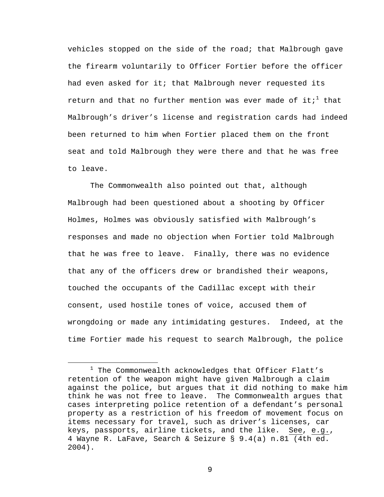vehicles stopped on the side of the road; that Malbrough gave the firearm voluntarily to Officer Fortier before the officer had even asked for it; that Malbrough never requested its return and that no further mention was ever made of it $\mathcal{F}^1$  that Malbrough's driver's license and registration cards had indeed been returned to him when Fortier placed them on the front seat and told Malbrough they were there and that he was free to leave.

 The Commonwealth also pointed out that, although Malbrough had been questioned about a shooting by Officer Holmes, Holmes was obviously satisfied with Malbrough's responses and made no objection when Fortier told Malbrough that he was free to leave. Finally, there was no evidence that any of the officers drew or brandished their weapons, touched the occupants of the Cadillac except with their consent, used hostile tones of voice, accused them of wrongdoing or made any intimidating gestures. Indeed, at the time Fortier made his request to search Malbrough, the police

 $\begin{array}{c|c}\n\hline\n\text{1}\n\end{array}$  $1$  The Commonwealth acknowledges that Officer Flatt's retention of the weapon might have given Malbrough a claim against the police, but argues that it did nothing to make him think he was not free to leave. The Commonwealth argues that cases interpreting police retention of a defendant's personal property as a restriction of his freedom of movement focus on items necessary for travel, such as driver's licenses, car keys, passports, airline tickets, and the like. See, e.g., 4 Wayne R. LaFave, Search & Seizure § 9.4(a) n.81 (4th ed. 2004).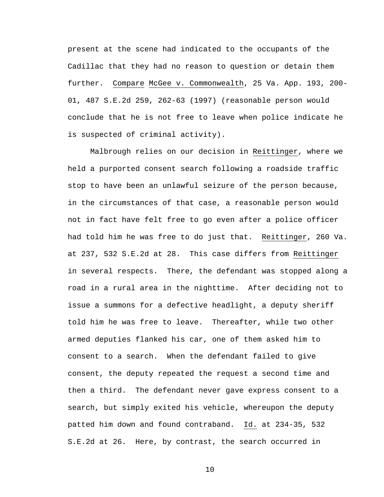present at the scene had indicated to the occupants of the Cadillac that they had no reason to question or detain them further. Compare McGee v. Commonwealth, 25 Va. App. 193, 200- 01, 487 S.E.2d 259, 262-63 (1997) (reasonable person would conclude that he is not free to leave when police indicate he is suspected of criminal activity).

 Malbrough relies on our decision in Reittinger, where we held a purported consent search following a roadside traffic stop to have been an unlawful seizure of the person because, in the circumstances of that case, a reasonable person would not in fact have felt free to go even after a police officer had told him he was free to do just that. Reittinger, 260 Va. at 237, 532 S.E.2d at 28. This case differs from Reittinger in several respects. There, the defendant was stopped along a road in a rural area in the nighttime. After deciding not to issue a summons for a defective headlight, a deputy sheriff told him he was free to leave. Thereafter, while two other armed deputies flanked his car, one of them asked him to consent to a search. When the defendant failed to give consent, the deputy repeated the request a second time and then a third. The defendant never gave express consent to a search, but simply exited his vehicle, whereupon the deputy patted him down and found contraband. Id. at 234-35, 532 S.E.2d at 26. Here, by contrast, the search occurred in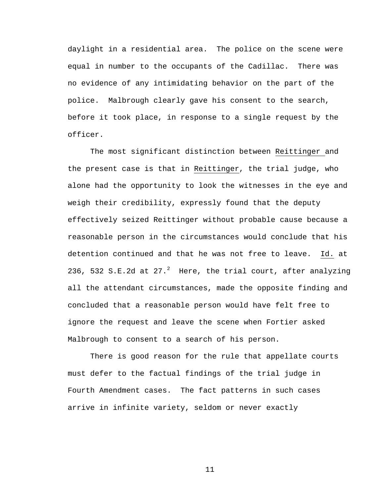daylight in a residential area. The police on the scene were equal in number to the occupants of the Cadillac. There was no evidence of any intimidating behavior on the part of the police. Malbrough clearly gave his consent to the search, before it took place, in response to a single request by the officer.

 The most significant distinction between Reittinger and the present case is that in Reittinger, the trial judge, who alone had the opportunity to look the witnesses in the eye and weigh their credibility, expressly found that the deputy effectively seized Reittinger without probable cause because a reasonable person in the circumstances would conclude that his detention continued and that he was not free to leave. Id. at 236, 532 S.E.2d at 27. $^2$  Here, the trial court, after analyzing all the attendant circumstances, made the opposite finding and concluded that a reasonable person would have felt free to ignore the request and leave the scene when Fortier asked Malbrough to consent to a search of his person.

 There is good reason for the rule that appellate courts must defer to the factual findings of the trial judge in Fourth Amendment cases. The fact patterns in such cases arrive in infinite variety, seldom or never exactly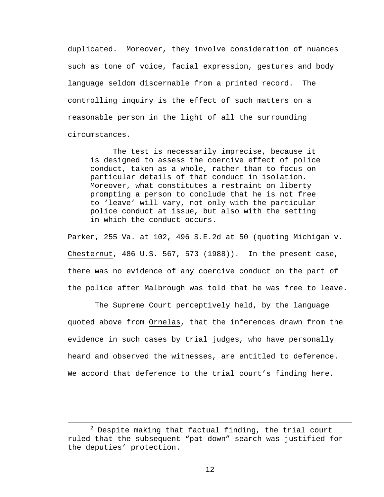duplicated. Moreover, they involve consideration of nuances such as tone of voice, facial expression, gestures and body language seldom discernable from a printed record. The controlling inquiry is the effect of such matters on a reasonable person in the light of all the surrounding circumstances.

 The test is necessarily imprecise, because it is designed to assess the coercive effect of police conduct, taken as a whole, rather than to focus on particular details of that conduct in isolation. Moreover, what constitutes a restraint on liberty prompting a person to conclude that he is not free to 'leave' will vary, not only with the particular police conduct at issue, but also with the setting in which the conduct occurs.

Parker, 255 Va. at 102, 496 S.E.2d at 50 (quoting Michigan v. Chesternut, 486 U.S. 567, 573 (1988)). In the present case, there was no evidence of any coercive conduct on the part of the police after Malbrough was told that he was free to leave.

 The Supreme Court perceptively held, by the language quoted above from Ornelas, that the inferences drawn from the evidence in such cases by trial judges, who have personally heard and observed the witnesses, are entitled to deference. We accord that deference to the trial court's finding here.

 $\overline{\phantom{a}}$  $2$  Despite making that factual finding, the trial court ruled that the subsequent "pat down" search was justified for the deputies' protection.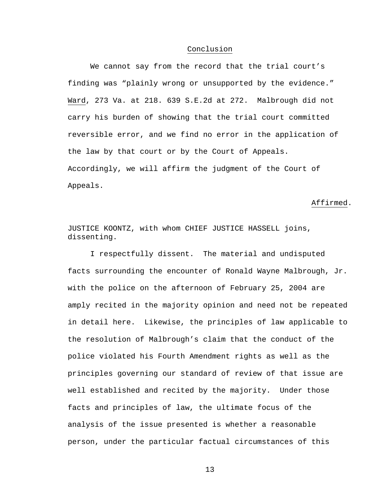### Conclusion

 We cannot say from the record that the trial court's finding was "plainly wrong or unsupported by the evidence." Ward, 273 Va. at 218. 639 S.E.2d at 272. Malbrough did not carry his burden of showing that the trial court committed reversible error, and we find no error in the application of the law by that court or by the Court of Appeals. Accordingly, we will affirm the judgment of the Court of Appeals.

Affirmed.

JUSTICE KOONTZ, with whom CHIEF JUSTICE HASSELL joins, dissenting.

 I respectfully dissent. The material and undisputed facts surrounding the encounter of Ronald Wayne Malbrough, Jr. with the police on the afternoon of February 25, 2004 are amply recited in the majority opinion and need not be repeated in detail here. Likewise, the principles of law applicable to the resolution of Malbrough's claim that the conduct of the police violated his Fourth Amendment rights as well as the principles governing our standard of review of that issue are well established and recited by the majority. Under those facts and principles of law, the ultimate focus of the analysis of the issue presented is whether a reasonable person, under the particular factual circumstances of this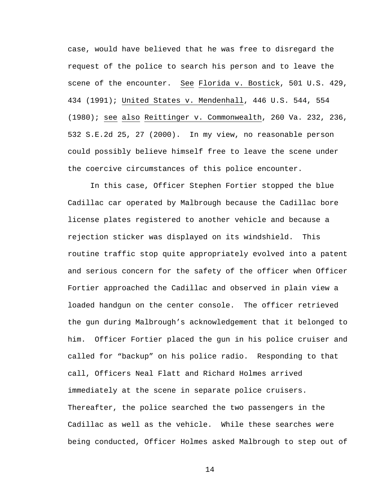case, would have believed that he was free to disregard the request of the police to search his person and to leave the scene of the encounter. See Florida v. Bostick, 501 U.S. 429, 434 (1991); United States v. Mendenhall, 446 U.S. 544, 554 (1980); see also Reittinger v. Commonwealth, 260 Va. 232, 236, 532 S.E.2d 25, 27 (2000). In my view, no reasonable person could possibly believe himself free to leave the scene under the coercive circumstances of this police encounter.

 In this case, Officer Stephen Fortier stopped the blue Cadillac car operated by Malbrough because the Cadillac bore license plates registered to another vehicle and because a rejection sticker was displayed on its windshield. This routine traffic stop quite appropriately evolved into a patent and serious concern for the safety of the officer when Officer Fortier approached the Cadillac and observed in plain view a loaded handgun on the center console. The officer retrieved the gun during Malbrough's acknowledgement that it belonged to him. Officer Fortier placed the gun in his police cruiser and called for "backup" on his police radio. Responding to that call, Officers Neal Flatt and Richard Holmes arrived immediately at the scene in separate police cruisers. Thereafter, the police searched the two passengers in the Cadillac as well as the vehicle. While these searches were being conducted, Officer Holmes asked Malbrough to step out of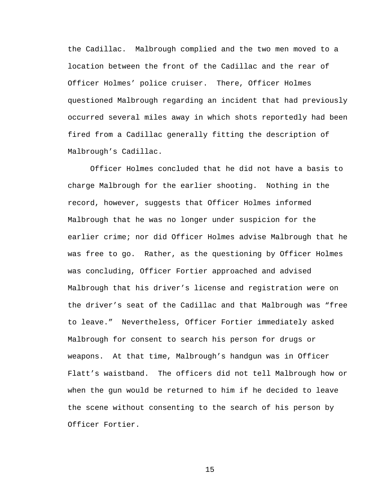the Cadillac. Malbrough complied and the two men moved to a location between the front of the Cadillac and the rear of Officer Holmes' police cruiser. There, Officer Holmes questioned Malbrough regarding an incident that had previously occurred several miles away in which shots reportedly had been fired from a Cadillac generally fitting the description of Malbrough's Cadillac.

Officer Holmes concluded that he did not have a basis to charge Malbrough for the earlier shooting. Nothing in the record, however, suggests that Officer Holmes informed Malbrough that he was no longer under suspicion for the earlier crime; nor did Officer Holmes advise Malbrough that he was free to go. Rather, as the questioning by Officer Holmes was concluding, Officer Fortier approached and advised Malbrough that his driver's license and registration were on the driver's seat of the Cadillac and that Malbrough was "free to leave." Nevertheless, Officer Fortier immediately asked Malbrough for consent to search his person for drugs or weapons. At that time, Malbrough's handgun was in Officer Flatt's waistband. The officers did not tell Malbrough how or when the gun would be returned to him if he decided to leave the scene without consenting to the search of his person by Officer Fortier.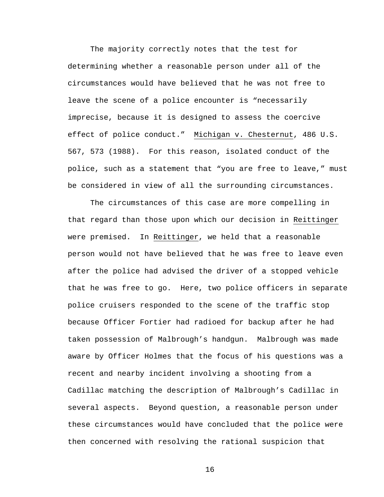The majority correctly notes that the test for determining whether a reasonable person under all of the circumstances would have believed that he was not free to leave the scene of a police encounter is "necessarily imprecise, because it is designed to assess the coercive effect of police conduct." Michigan v. Chesternut, 486 U.S. 567, 573 (1988). For this reason, isolated conduct of the police, such as a statement that "you are free to leave," must be considered in view of all the surrounding circumstances.

 The circumstances of this case are more compelling in that regard than those upon which our decision in Reittinger were premised. In Reittinger, we held that a reasonable person would not have believed that he was free to leave even after the police had advised the driver of a stopped vehicle that he was free to go. Here, two police officers in separate police cruisers responded to the scene of the traffic stop because Officer Fortier had radioed for backup after he had taken possession of Malbrough's handgun. Malbrough was made aware by Officer Holmes that the focus of his questions was a recent and nearby incident involving a shooting from a Cadillac matching the description of Malbrough's Cadillac in several aspects. Beyond question, a reasonable person under these circumstances would have concluded that the police were then concerned with resolving the rational suspicion that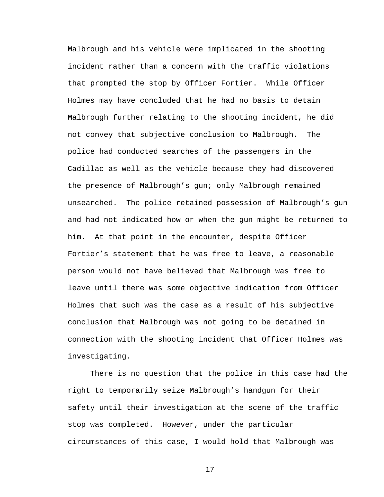Malbrough and his vehicle were implicated in the shooting incident rather than a concern with the traffic violations that prompted the stop by Officer Fortier. While Officer Holmes may have concluded that he had no basis to detain Malbrough further relating to the shooting incident, he did not convey that subjective conclusion to Malbrough. The police had conducted searches of the passengers in the Cadillac as well as the vehicle because they had discovered the presence of Malbrough's gun; only Malbrough remained unsearched. The police retained possession of Malbrough's gun and had not indicated how or when the gun might be returned to him. At that point in the encounter, despite Officer Fortier's statement that he was free to leave, a reasonable person would not have believed that Malbrough was free to leave until there was some objective indication from Officer Holmes that such was the case as a result of his subjective conclusion that Malbrough was not going to be detained in connection with the shooting incident that Officer Holmes was investigating.

 There is no question that the police in this case had the right to temporarily seize Malbrough's handgun for their safety until their investigation at the scene of the traffic stop was completed. However, under the particular circumstances of this case, I would hold that Malbrough was